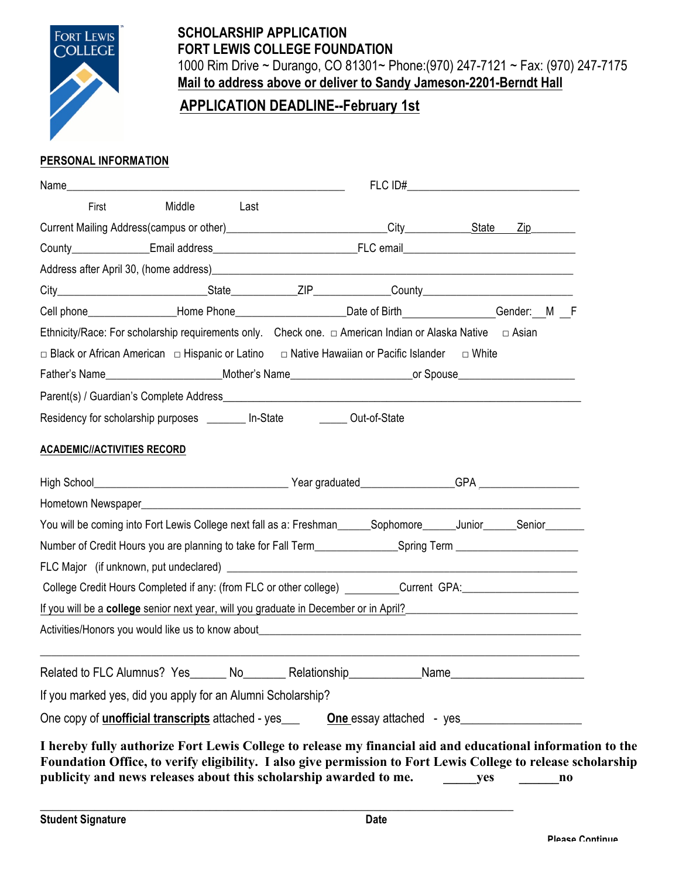

### **SCHOLARSHIP APPLICATION FORT LEWIS COLLEGE FOUNDATION**  1000 Rim Drive ~ Durango, CO 81301~ Phone:(970) 247-7121 ~ Fax: (970) 247-7175 **Mail to address above or deliver to Sandy Jameson-2201-Berndt Hall**

# **APPLICATION DEADLINE--February 1st**

#### **PERSONAL INFORMATION**

| First                                                                                                                                                                                                                            | Middle | Last |  |  |  |  |  |
|----------------------------------------------------------------------------------------------------------------------------------------------------------------------------------------------------------------------------------|--------|------|--|--|--|--|--|
|                                                                                                                                                                                                                                  |        |      |  |  |  |  |  |
|                                                                                                                                                                                                                                  |        |      |  |  |  |  |  |
|                                                                                                                                                                                                                                  |        |      |  |  |  |  |  |
|                                                                                                                                                                                                                                  |        |      |  |  |  |  |  |
| Cell phone___________________Home Phone_________________________Date of Birth_______________Gender:__M __F                                                                                                                       |        |      |  |  |  |  |  |
| Ethnicity/Race: For scholarship requirements only. Check one. $\Box$ American Indian or Alaska Native $\Box$ Asian                                                                                                               |        |      |  |  |  |  |  |
| □ Black or African American □ Hispanic or Latino □ Native Hawaiian or Pacific Islander □ White                                                                                                                                   |        |      |  |  |  |  |  |
|                                                                                                                                                                                                                                  |        |      |  |  |  |  |  |
| Parent(s) / Guardian's Complete Address<br>and the material contract of the material contract of the material contract of the material contract of the material contract of the material contract of the material contract of th |        |      |  |  |  |  |  |
| Residency for scholarship purposes ________ In-State _________ Out-of-State                                                                                                                                                      |        |      |  |  |  |  |  |
| <b>ACADEMIC//ACTIVITIES RECORD</b>                                                                                                                                                                                               |        |      |  |  |  |  |  |
|                                                                                                                                                                                                                                  |        |      |  |  |  |  |  |
|                                                                                                                                                                                                                                  |        |      |  |  |  |  |  |
| You will be coming into Fort Lewis College next fall as a: Freshman______Sophomore______Junior_____Senior_____                                                                                                                   |        |      |  |  |  |  |  |
|                                                                                                                                                                                                                                  |        |      |  |  |  |  |  |
|                                                                                                                                                                                                                                  |        |      |  |  |  |  |  |
| College Credit Hours Completed if any: (from FLC or other college) _________Current GPA:_____________________                                                                                                                    |        |      |  |  |  |  |  |
| If you will be a college senior next year, will you graduate in December or in April?<br>Senior April 2011 April 2021 - April 2021 - April 2021 - April 2021 - April 2021 - April 2021 - April 2021 - A                          |        |      |  |  |  |  |  |
|                                                                                                                                                                                                                                  |        |      |  |  |  |  |  |
|                                                                                                                                                                                                                                  |        |      |  |  |  |  |  |
|                                                                                                                                                                                                                                  |        |      |  |  |  |  |  |
| If you marked yes, did you apply for an Alumni Scholarship?                                                                                                                                                                      |        |      |  |  |  |  |  |

\_\_\_\_\_\_\_\_\_\_\_\_\_\_\_\_\_\_\_\_\_\_\_\_\_\_\_\_\_\_\_\_\_\_\_\_\_\_\_\_\_\_\_\_\_\_\_\_\_\_\_\_\_\_\_\_\_\_\_\_\_\_\_\_\_\_\_\_\_\_\_\_\_\_\_\_\_\_